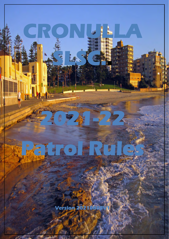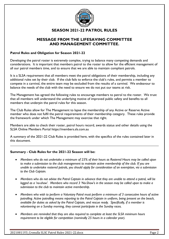

# **SEASON 2021-22 PATROL RULES**

# **MESSAGE FROM THE LIFESAVING COMMITTEE AND MANAGEMENT COMMITTEE.**

# **Patrol Rules and Obligation for Season 2021-22**

Developing the patrol roster is extremely complex, trying to balance many competing demands and considerations. It is important that members patrol to the roster to allow for the efficient management of all our patrol members time, and to ensure that we are able to maintain compliant patrols.

It is a SLSA requirement that all members meet the patrol obligations of their membership, including any additional rules set by their club. If the club fails to enforce the club's rules, and permits a member to compete in a carnival, the entire team may be excluded from the results of a carnival. We endeavour to balance the needs of the club with the need to ensure we do not put our teams at risk.

The Management has agreed the following rules to encourage members to patrol to the roster. We trust that all members will understand the underlying motive of improved public safety and benefits to all members that underpin the patrol rules for this season.

The Club Rules allow for The Management to lapse the membership of any Active or Reserve Active member who does not fulfil the patrol requirements of their membership category. These rules provide the framework under which The Management may exercise that right.

Members are able to check their roster, patrol hours record, awards status and other details using the SLSA Online Members Portal https://members.sls.com.au

A summary of the 2021-22 Club Rules is provided here, with the specifics of the rules contained later in this document.

#### **Summary - Club Rules for the 2021-22 Season will be:**

- *Members who do not undertake a minimum of 25% of their hours as Rostered Hours may be called upon to make a submission to the club management to maintain active membership of the club. If you are unable to undertake rostered patrols, you should apply for consideration of an exemption, via a submission to the Club Captain.*
- *Members who do not advise the Patrol Captain in advance that they are unable to attend a patrol, will be logged as a 'no-show'. Members who record 3 'No-Show's in the season may be called upon to make a submission to the club to maintain active membership.*
- *Members who wish to perform a Voluntary Patrol must perform a minimum of 3 consecutive hours of active patrolling. Active patrolling means reporting to the Patrol Captain in uniform, being present on the beach, available for duties as asked by the Patrol Captain, and rescue ready. Specifically, if a member is volunteering on a Sunday morning, they cannot participate in the Sunday races.*
- *Members are reminded that they are also required to complete at least the SLSA minimum hours requirement to be eligible for competition (nominally 25 hours in a calendar year).*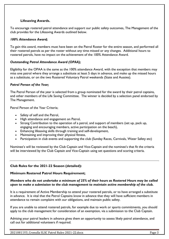# **Lifesaving Awards.**

To encourage rostered patrol attendance and support our public safety outcomes, The Management of the club provides for the Lifesaving Awards outlined below.

# *100% Attendance Award;*

To gain this award, members must have been on the Patrol Roster for the entire season, and performed all their rostered patrols as per the roster without any time missed or any changes. Additional hours to rostered patrols, have no impact on the achievement of the 100% Attendance Award.

# *Outstanding Patrol Attendance Award (OPAA);*

Eligibility for the OPAA is the same as the 100% attendance Award, with the exception that members may miss one patrol where they arrange a substitute at least 5 days in advance, and make up the missed hours as a substitute, or on the two Rostered Voluntary Patrol weekends (State and Aussies).

# *Patrol Person of the Year;*

The Patrol Person of the year is selected from a group nominated for the award by their patrol captains, and other members of the Life Saving Committee. The winner is decided by a selection panel endorsed by The Management.

Patrol Person of the Year Criteria;

- Safety of self and the Patrol,
- High attendance and engagement on Patrol,
- Strong Contribution to the operation of a patrol, and support of members (set up, pack up, engaging and encouraging members, active participation on the beach),
- Enhancing lifesaving skills through training and self-development,
- Maintaining and improving their physical fitness,
- Participation in club events and supporting the club (Sunday Races, Carnivals, Water Safety etc)

Nominee's will be reviewed by the Club Captain and Vice-Captain and the nominee's that fit the criteria will be interviewed by the Club Captain and Vice-Captain using set questions and scoring criteria.

# **Club Rules for the 2021-22 Season (detailed):**

#### **Minimum Rostered Patrol Hours Requirement;**

*Members who do not undertake a minimum of 25% of their hours as Rostered Hours may be called upon to make a submission to the club management to maintain active membership of the club.* 

It is a requirement of Active Membership to attend your rostered patrols, or to have arranged a substitute in advance. It is vital that the Patrol Captains know in advance that they will have sufficient members in attendance to remain complaint with our obligations, and maintain public safety.

If you are unable to attend rostered patrols, for example due to work or sports commitments, you should apply to the club management for consideration of an exemption, via a submission to the Club Captain.

Advising your patrol leaders in advance gives them an opportunity to assess likely patrol attendance, and call out for additional volunteers if required.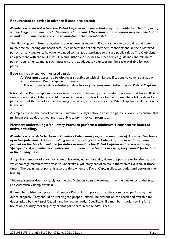#### **Requirement to advise in advance if unable to attend;**

# *Members who do not advise the Patrol Captain in advance that they are unable to attend a patrol, will be logged as a 'no-show'. Members who record 3 'No-Show's in the season may be called upon to make a submission to the club to maintain active membership.*

The lifesaving committee recognises modern lifestyles make it difficult for people to provide and commit so much time to keeping our beach safe. We understand that all members cannot attend all their rostered patrols on any weekend, however we need to manage attendance to ensure public safety. The Club signs an agreement with the SLSNSW, SLSS and Sutherland Council to meet certain guidelines and minimum patrol requirements, and as such must ensure that adequate volunteer numbers are available for each patrol.

If you **cannot** attend your rostered patrol,

A: **You must attempt to obtain a substitute** with similar qualifications to cover your patrol, and advise your Patrol Captain in advance.

B: If you cannot obtain a substitute 5 days before your, **you must inform your Patrol Captain.** 

It is vital that Patrol Captains are able to ensure that minimum patrol standards are met, and have sufficient time to take action if there is a risk that minimum standards will not be met. If members fail to show for a patrol without the Patrol Captain knowing in advance, it is too late for the Patrol Captain to take action to fill the gap.

A simple email to the patrol captain a minimum of 5 days before a rostered patrol, allows us to ensure that minimum standards are met, and that public safety is not compromised.

# **Members undertaking a Voluntary Patrol to perform a minimum 3 consecutive hours of active patrolling.**

*Members who wish to perform a Voluntary Patrol must perform a minimum of 3 consecutive hours of active patrolling. Active patrolling means reporting to the Patrol Captain in uniform, being present on the beach, available for duties as asked by the Patrol Captain and be rescue ready. Specifically, if a member is volunteering for 3 hours on a Sunday morning, they cannot participate in the Sunday races.* 

A significant amount of effort for a patrol is setting up and breaking down the patrol area for the day and we encourage members who wish to undertake a voluntary patrol to make themselves available at those times. The beginning of patrol is also the time when the Patrol Captain allocates duties and performs the briefing.

This requirement does not apply for the two 'voluntary patrol weekends' (i.e. the weekends of the State and Australian Championships).

If a member wishes to perform a Voluntary Patrol, it is important that they commit to performing their duties properly. They should be wearing the proper uniform, be present on the beach and available for duties asked by the Patrol Captain and be rescue ready. Specifically, if a member is volunteering for 3 hours on a Sunday morning, they cannot participate in the Sunday races.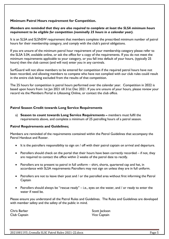# **Minimum Patrol Hours requirement for Competition.**

#### *Members are reminded that they are also required to complete at least the SLSA minimum hours requirement to be eligible for competition (nominally 25 hours in a calendar year).*

It is an SLSA and SLSNSW requirement that members complete the prescribed minimum number of patrol hours for their membership category, and comply with the club's patrol obligations.

If you are unsure of the minimum patrol hour requirement of your membership category please refer to the SLSA 5.04, available online, or ask the office for a copy of the requirements. If you do not meet the minimum requirements applicable to your category, or you fall into default of your hours, (typically 25 hours) then the club cannot (and will not) enter you in any carnivals.

SurfGuard will not allow members to be entered for competition if the required patrol hours have not been recorded, and allowing members to compete who have not complied with our club rules could result in the entire club being excluded from the results of that competition.

The 25 hours for competition is patrol hours performed over the calendar year. Competition in 2022 is based upon hours from 1st Jan 2021 till 31st Dec 2021. If you are unsure of your hours, please review your record via the Members Portal in Lifesaving Online, or contact the club office.

#### **Patrol Season Credit towards Long Service Requirements**

a) **Season to count towards Long Service Requirements –** members must fulfil the requirements above, and complete a minimum of 25 patrolling hours of a patrol season.

#### **Patrol Requirements and Guidelines;**

Members are reminded of the requirements contained within the Patrol Guidelines that accompany the Patrol Handout and Roster.

- It is the patrollers responsibility to sign on / off with their patrol captain on arrival and departure.
- Patrollers should check on the portal that their hours have been correctly recorded if not, they are required to contact the office within 2 weeks of the patrol date to rectify.
- Patrollers are to present to patrol in full uniform shirt, shorts, quartered cap and hat, in accordance with SLSA requirements Patrollers may not sign on unless they are in full uniform.
- Patrollers are not to leave their post and / or the patrolled area without first informing the Patrol Captain
- Patrollers should always be "rescue ready" i.e., eyes on the water, and / or ready to enter the water if need be.

Please ensure you understand all the Patrol Rules and Guidelines. The Rules and Guidelines are developed with member safety and the safety of the public in mind.

Club Captain Vice Captain

Chris Barber Scott Jackson